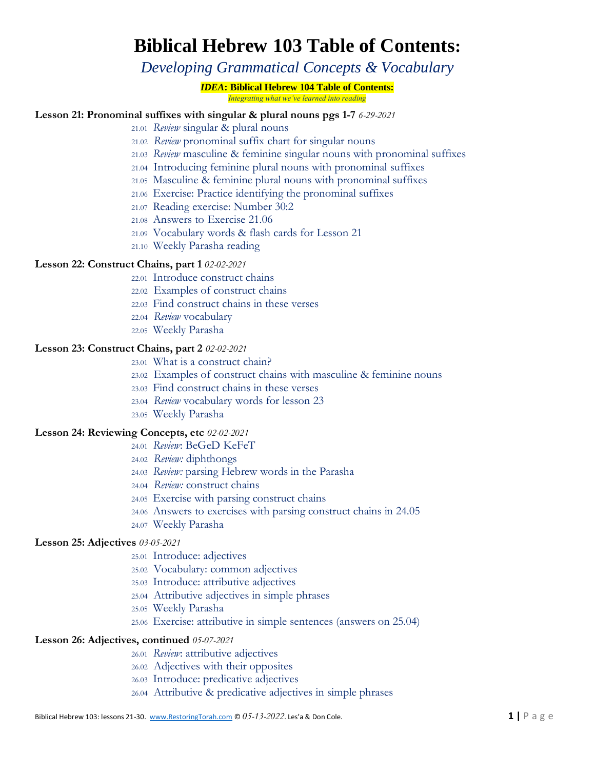# **Biblical Hebrew 103 Table of Contents:**

*Developing Grammatical Concepts & Vocabulary*

## *IDEA***: Biblical Hebrew 104 Table of Contents:**

*Integrating what we've learned into reading*

# **Lesson 21: Pronominal suffixes with singular & plural nouns pgs 1-7** *6-29-2021*

- 21.01 *Review* singular & plural nouns
- 21.02 *Review* pronominal suffix chart for singular nouns
- 21.03 *Review* masculine & feminine singular nouns with pronominal suffixes
- 21.04 Introducing feminine plural nouns with pronominal suffixes
- 21.05 Masculine & feminine plural nouns with pronominal suffixes
- 21.06 Exercise: Practice identifying the pronominal suffixes
- 21.07 Reading exercise: Number 30:2
- 21.08 Answers to Exercise 21.06
- 21.09 Vocabulary words & flash cards for Lesson 21
- 21.10 Weekly Parasha reading

## **Lesson 22: Construct Chains, part 1** *02-02-2021*

- 22.01 Introduce construct chains
- 22.02 Examples of construct chains
- 22.03 Find construct chains in these verses
- 22.04 *Review* vocabulary
- 22.05 Weekly Parasha

## **Lesson 23: Construct Chains, part 2** *02-02-2021*

- 23.01 What is a construct chain?
- 23.02 Examples of construct chains with masculine & feminine nouns
- 23.03 Find construct chains in these verses
- 23.04 *Review* vocabulary words for lesson 23
- 23.05 Weekly Parasha

## **Lesson 24: Reviewing Concepts, etc** *02-02-2021*

- 24.01 *Review*: BeGeD KeFeT
	- 24.02 *Review:* diphthongs
	- 24.03 *Review:* parsing Hebrew words in the Parasha
	- 24.04 *Review:* construct chains
	- 24.05 Exercise with parsing construct chains
	- 24.06 Answers to exercises with parsing construct chains in 24.05
	- 24.07 Weekly Parasha

## **Lesson 25: Adjectives** *03-05-2021*

- 25.01 Introduce: adjectives
- 25.02 Vocabulary: common adjectives
- 25.03 Introduce: attributive adjectives
- 25.04 Attributive adjectives in simple phrases
- 25.05 Weekly Parasha
- 25.06 Exercise: attributive in simple sentences (answers on 25.04)

# **Lesson 26: Adjectives, continued** *05-07-2021*

- 26.01 *Review*: attributive adjectives
- 26.02 Adjectives with their opposites
- 26.03 Introduce: predicative adjectives
- 26.04 Attributive & predicative adjectives in simple phrases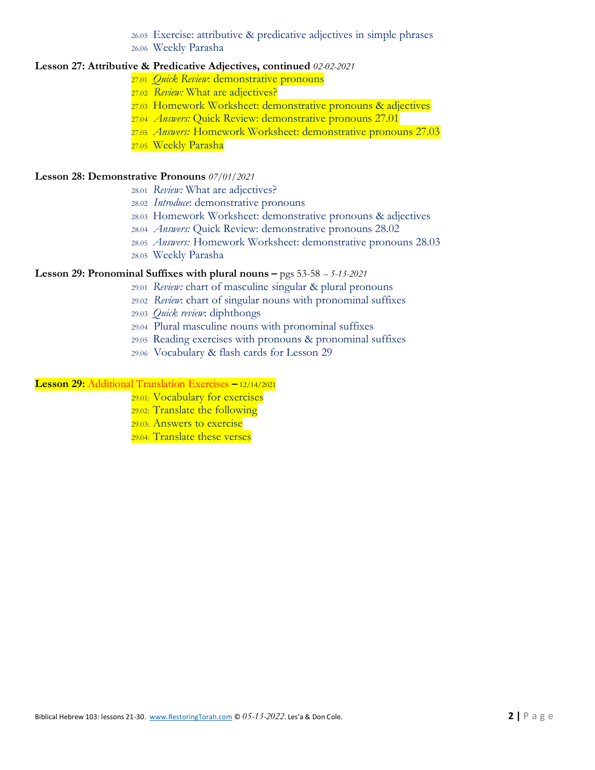26.05 Exercise: attributive & predicative adjectives in simple phrases

26.06 Weekly Parasha

# **Lesson 27: Attributive & Predicative Adjectives, continued** *02-02-2021*

- 27.01 *Quick Review*: demonstrative pronouns
- 27.02 *Review:* What are adjectives?
- 27.03 Homework Worksheet: demonstrative pronouns & adjectives
- 27.04 *Answers:* Quick Review: demonstrative pronouns 27.01
- 27.05 *Answers:* Homework Worksheet: demonstrative pronouns 27.03
- 27.05 Weekly Parasha

## **Lesson 28: Demonstrative Pronouns** *07/01/2021*

- 28.01 *Review:* What are adjectives?
- 28.02 *Introduce*: demonstrative pronouns
- 28.03 Homework Worksheet: demonstrative pronouns & adjectives
- 28.04 *Answers:* Quick Review: demonstrative pronouns 28.02
- 28.05 *Answers:* Homework Worksheet: demonstrative pronouns 28.03
- 28.05 Weekly Parasha

## **Lesson 29: Pronominal Suffixes with plural nouns –** pgs 53-58 *-- 5-13-2021*

- 29.01 *Review:* chart of masculine singular & plural pronouns
- 29.02 *Review*: chart of singular nouns with pronominal suffixes
- 29.03 *Quick review*: diphthongs
- 29.04 Plural masculine nouns with pronominal suffixes
- 29.05 Reading exercises with pronouns & pronominal suffixes
- 29.06 Vocabulary & flash cards for Lesson 29

#### **Lesson 29:** Additional Translation Exercises **–** 12/14/2021

- 29.01: Vocabulary for exercises
- 29.02: Translate the following
- 29.03: Answers to exercise
- 29.04: Translate these verses